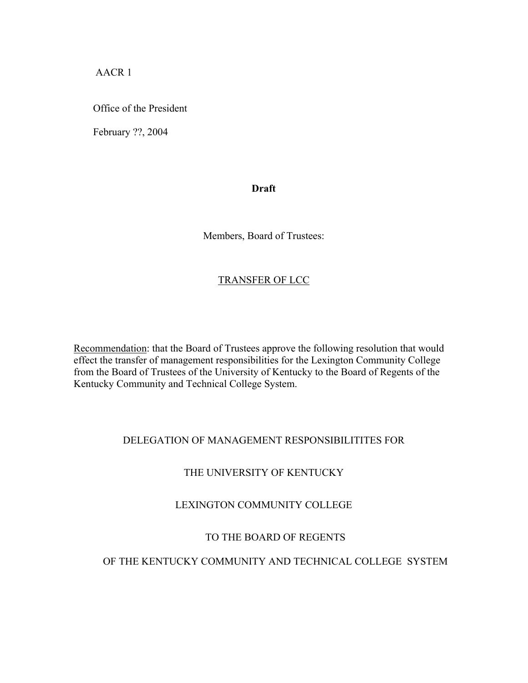AACR 1

Office of the President

February ??, 2004

#### **Draft**

Members, Board of Trustees:

# TRANSFER OF LCC

Recommendation: that the Board of Trustees approve the following resolution that would effect the transfer of management responsibilities for the Lexington Community College from the Board of Trustees of the University of Kentucky to the Board of Regents of the Kentucky Community and Technical College System.

#### DELEGATION OF MANAGEMENT RESPONSIBILITITES FOR

# THE UNIVERSITY OF KENTUCKY

# LEXINGTON COMMUNITY COLLEGE

# TO THE BOARD OF REGENTS

# OF THE KENTUCKY COMMUNITY AND TECHNICAL COLLEGE SYSTEM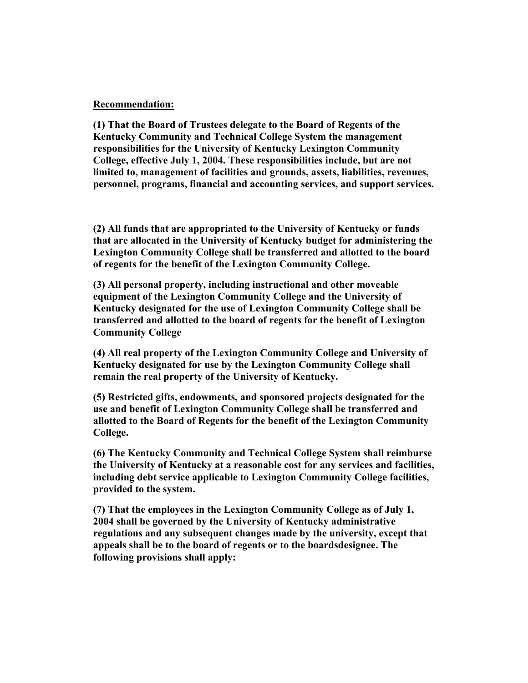#### **Recommendation:**

**(1) That the Board of Trustees delegate to the Board of Regents of the Kentucky Community and Technical College System the management responsibilities for the University of Kentucky Lexington Community College, effective July 1, 2004. These responsibilities include, but are not limited to, management of facilities and grounds, assets, liabilities, revenues, personnel, programs, financial and accounting services, and support services.** 

**(2) All funds that are appropriated to the University of Kentucky or funds that are allocated in the University of Kentucky budget for administering the Lexington Community College shall be transferred and allotted to the board of regents for the benefit of the Lexington Community College.** 

**(3) All personal property, including instructional and other moveable equipment of the Lexington Community College and the University of Kentucky designated for the use of Lexington Community College shall be transferred and allotted to the board of regents for the benefit of Lexington Community College** 

**(4) All real property of the Lexington Community College and University of Kentucky designated for use by the Lexington Community College shall remain the real property of the University of Kentucky.** 

**(5) Restricted gifts, endowments, and sponsored projects designated for the use and benefit of Lexington Community College shall be transferred and allotted to the Board of Regents for the benefit of the Lexington Community College.** 

**(6) The Kentucky Community and Technical College System shall reimburse the University of Kentucky at a reasonable cost for any services and facilities, including debt service applicable to Lexington Community College facilities, provided to the system.** 

**(7) That the employees in the Lexington Community College as of July 1, 2004 shall be governed by the University of Kentucky administrative regulations and any subsequent changes made by the university, except that appeals shall be to the board of regents or to the boardsdesignee. The following provisions shall apply:**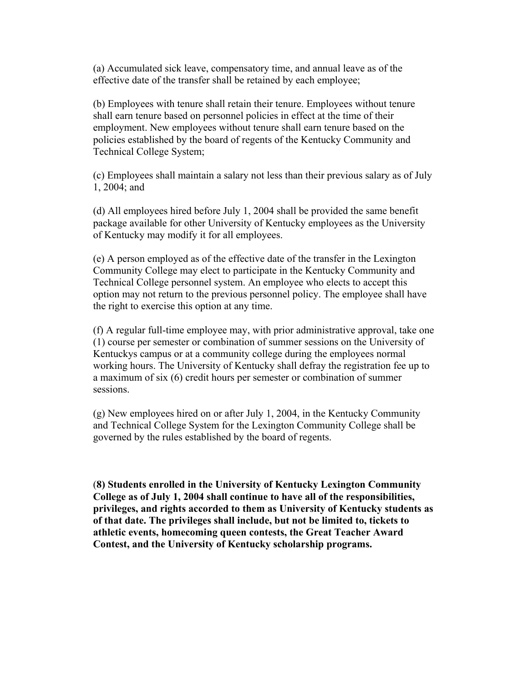(a) Accumulated sick leave, compensatory time, and annual leave as of the effective date of the transfer shall be retained by each employee;

(b) Employees with tenure shall retain their tenure. Employees without tenure shall earn tenure based on personnel policies in effect at the time of their employment. New employees without tenure shall earn tenure based on the policies established by the board of regents of the Kentucky Community and Technical College System;

(c) Employees shall maintain a salary not less than their previous salary as of July 1, 2004; and

(d) All employees hired before July 1, 2004 shall be provided the same benefit package available for other University of Kentucky employees as the University of Kentucky may modify it for all employees.

(e) A person employed as of the effective date of the transfer in the Lexington Community College may elect to participate in the Kentucky Community and Technical College personnel system. An employee who elects to accept this option may not return to the previous personnel policy. The employee shall have the right to exercise this option at any time.

(f) A regular full-time employee may, with prior administrative approval, take one (1) course per semester or combination of summer sessions on the University of Kentuckys campus or at a community college during the employees normal working hours. The University of Kentucky shall defray the registration fee up to a maximum of six (6) credit hours per semester or combination of summer sessions.

(g) New employees hired on or after July 1, 2004, in the Kentucky Community and Technical College System for the Lexington Community College shall be governed by the rules established by the board of regents.

(**8) Students enrolled in the University of Kentucky Lexington Community College as of July 1, 2004 shall continue to have all of the responsibilities, privileges, and rights accorded to them as University of Kentucky students as of that date. The privileges shall include, but not be limited to, tickets to athletic events, homecoming queen contests, the Great Teacher Award Contest, and the University of Kentucky scholarship programs.**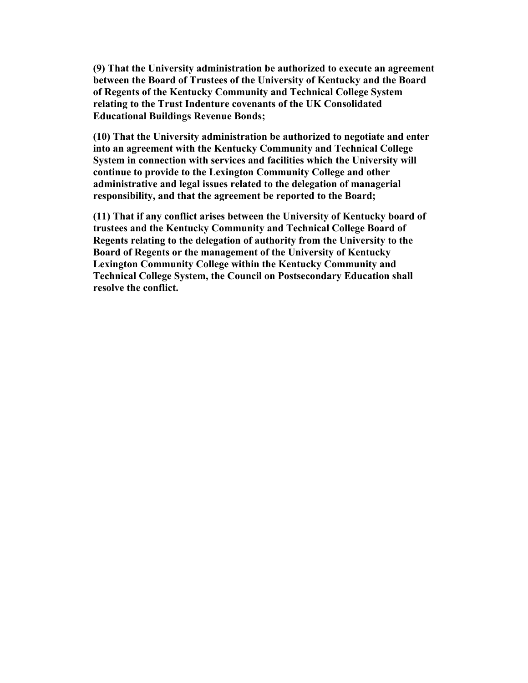**(9) That the University administration be authorized to execute an agreement between the Board of Trustees of the University of Kentucky and the Board of Regents of the Kentucky Community and Technical College System relating to the Trust Indenture covenants of the UK Consolidated Educational Buildings Revenue Bonds;** 

**(10) That the University administration be authorized to negotiate and enter into an agreement with the Kentucky Community and Technical College System in connection with services and facilities which the University will continue to provide to the Lexington Community College and other administrative and legal issues related to the delegation of managerial responsibility, and that the agreement be reported to the Board;** 

**(11) That if any conflict arises between the University of Kentucky board of trustees and the Kentucky Community and Technical College Board of Regents relating to the delegation of authority from the University to the Board of Regents or the management of the University of Kentucky Lexington Community College within the Kentucky Community and Technical College System, the Council on Postsecondary Education shall resolve the conflict.**